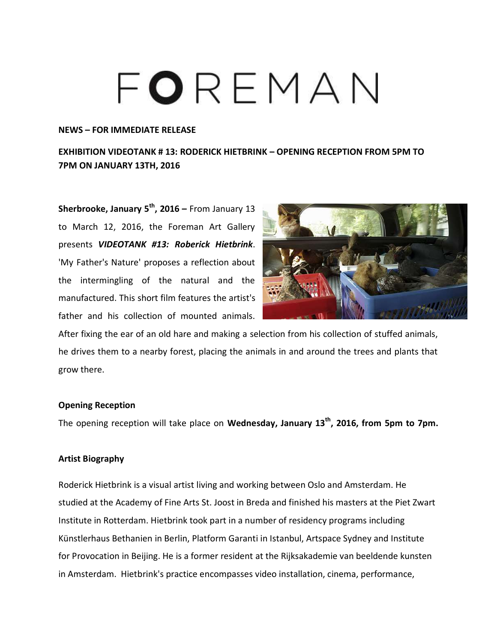# FOREMAN

#### **NEWS – FOR IMMEDIATE RELEASE**

## **EXHIBITION VIDEOTANK # 13: RODERICK HIETBRINK – OPENING RECEPTION FROM 5PM TO 7PM ON JANUARY 13TH, 2016**

**Sherbrooke, January 5th, 2016 –** From January 13 to March 12, 2016, the Foreman Art Gallery presents *VIDEOTANK #13: Roberick Hietbrink*. 'My Father's Nature' proposes a reflection about the intermingling of the natural and the manufactured. This short film features the artist's father and his collection of mounted animals.



After fixing the ear of an old hare and making a selection from his collection of stuffed animals, he drives them to a nearby forest, placing the animals in and around the trees and plants that grow there.

#### **Opening Reception**

The opening reception will take place on **Wednesday, January 13th, 2016, from 5pm to 7pm.**

### **Artist Biography**

Roderick Hietbrink is a visual artist living and working between Oslo and Amsterdam. He studied at the Academy of Fine Arts St. Joost in Breda and finished his masters at the Piet Zwart Institute in Rotterdam. Hietbrink took part in a number of residency programs including Künstlerhaus Bethanien in Berlin, Platform Garanti in Istanbul, Artspace Sydney and Institute for Provocation in Beijing. He is a former resident at the Rijksakademie van beeldende kunsten in Amsterdam. Hietbrink's practice encompasses video installation, cinema, performance,